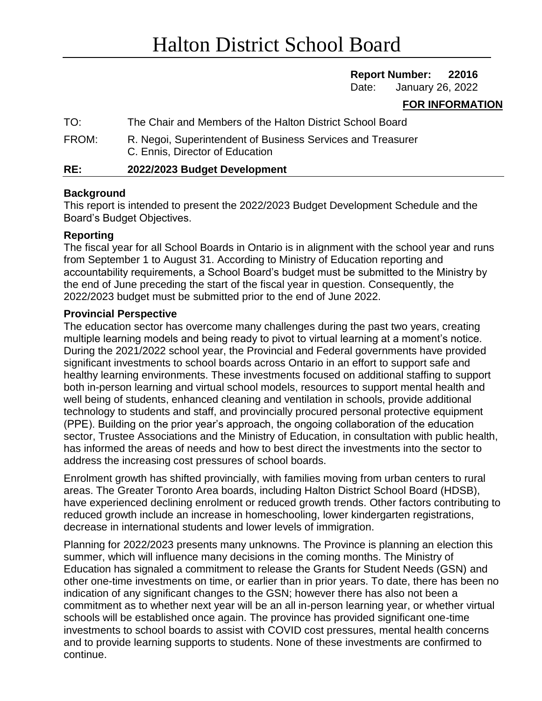## **Report Number: 22016**

Date: January 26, 2022

## **FOR INFORMATION**

| RE:   | 2022/2023 Budget Development                                                                   |
|-------|------------------------------------------------------------------------------------------------|
| FROM: | R. Negoi, Superintendent of Business Services and Treasurer<br>C. Ennis, Director of Education |
| TO:   | The Chair and Members of the Halton District School Board                                      |

## **Background**

This report is intended to present the 2022/2023 Budget Development Schedule and the Board's Budget Objectives.

## **Reporting**

The fiscal year for all School Boards in Ontario is in alignment with the school year and runs from September 1 to August 31. According to Ministry of Education reporting and accountability requirements, a School Board's budget must be submitted to the Ministry by the end of June preceding the start of the fiscal year in question. Consequently, the 2022/2023 budget must be submitted prior to the end of June 2022.

#### **Provincial Perspective**

The education sector has overcome many challenges during the past two years, creating multiple learning models and being ready to pivot to virtual learning at a moment's notice. During the 2021/2022 school year, the Provincial and Federal governments have provided significant investments to school boards across Ontario in an effort to support safe and healthy learning environments. These investments focused on additional staffing to support both in-person learning and virtual school models, resources to support mental health and well being of students, enhanced cleaning and ventilation in schools, provide additional technology to students and staff, and provincially procured personal protective equipment (PPE). Building on the prior year's approach, the ongoing collaboration of the education sector, Trustee Associations and the Ministry of Education, in consultation with public health, has informed the areas of needs and how to best direct the investments into the sector to address the increasing cost pressures of school boards.

Enrolment growth has shifted provincially, with families moving from urban centers to rural areas. The Greater Toronto Area boards, including Halton District School Board (HDSB), have experienced declining enrolment or reduced growth trends. Other factors contributing to reduced growth include an increase in homeschooling, lower kindergarten registrations, decrease in international students and lower levels of immigration.

Planning for 2022/2023 presents many unknowns. The Province is planning an election this summer, which will influence many decisions in the coming months. The Ministry of Education has signaled a commitment to release the Grants for Student Needs (GSN) and other one-time investments on time, or earlier than in prior years. To date, there has been no indication of any significant changes to the GSN; however there has also not been a commitment as to whether next year will be an all in-person learning year, or whether virtual schools will be established once again. The province has provided significant one-time investments to school boards to assist with COVID cost pressures, mental health concerns and to provide learning supports to students. None of these investments are confirmed to continue.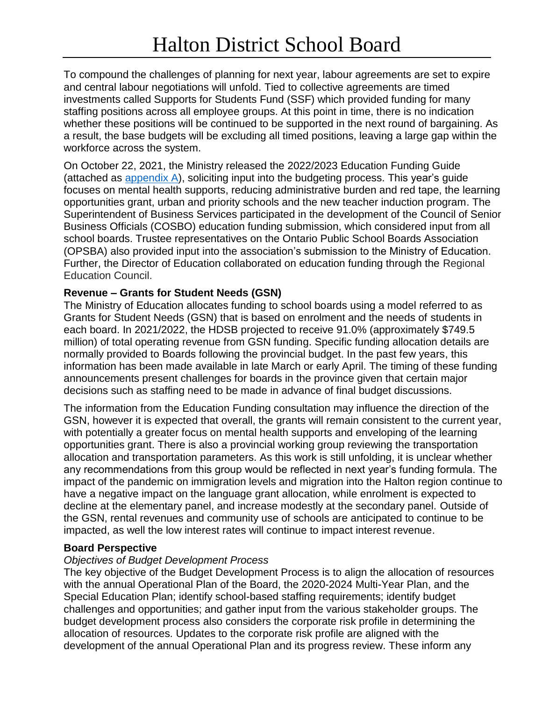To compound the challenges of planning for next year, labour agreements are set to expire and central labour negotiations will unfold. Tied to collective agreements are timed investments called Supports for Students Fund (SSF) which provided funding for many staffing positions across all employee groups. At this point in time, there is no indication whether these positions will be continued to be supported in the next round of bargaining. As a result, the base budgets will be excluding all timed positions, leaving a large gap within the workforce across the system.

On October 22, 2021, the Ministry released the 2022/2023 Education Funding Guide (attached as [appendix A\)](https://drive.google.com/file/d/1x82jgNX_Be-9bSbw9XzJI3fhKCzkKGd7/view?usp=sharing), soliciting input into the budgeting process. This year's guide focuses on mental health supports, reducing administrative burden and red tape, the learning opportunities grant, urban and priority schools and the new teacher induction program. The Superintendent of Business Services participated in the development of the Council of Senior Business Officials (COSBO) education funding submission, which considered input from all school boards. Trustee representatives on the Ontario Public School Boards Association (OPSBA) also provided input into the association's submission to the Ministry of Education. Further, the Director of Education collaborated on education funding through the Regional Education Council.

## **Revenue – Grants for Student Needs (GSN)**

The Ministry of Education allocates funding to school boards using a model referred to as Grants for Student Needs (GSN) that is based on enrolment and the needs of students in each board. In 2021/2022, the HDSB projected to receive 91.0% (approximately \$749.5 million) of total operating revenue from GSN funding. Specific funding allocation details are normally provided to Boards following the provincial budget. In the past few years, this information has been made available in late March or early April. The timing of these funding announcements present challenges for boards in the province given that certain major decisions such as staffing need to be made in advance of final budget discussions.

The information from the Education Funding consultation may influence the direction of the GSN, however it is expected that overall, the grants will remain consistent to the current year, with potentially a greater focus on mental health supports and enveloping of the learning opportunities grant. There is also a provincial working group reviewing the transportation allocation and transportation parameters. As this work is still unfolding, it is unclear whether any recommendations from this group would be reflected in next year's funding formula. The impact of the pandemic on immigration levels and migration into the Halton region continue to have a negative impact on the language grant allocation, while enrolment is expected to decline at the elementary panel, and increase modestly at the secondary panel. Outside of the GSN, rental revenues and community use of schools are anticipated to continue to be impacted, as well the low interest rates will continue to impact interest revenue.

## **Board Perspective**

# *Objectives of Budget Development Process*

The key objective of the Budget Development Process is to align the allocation of resources with the annual Operational Plan of the Board, the 2020-2024 Multi-Year Plan, and the Special Education Plan; identify school-based staffing requirements; identify budget challenges and opportunities; and gather input from the various stakeholder groups. The budget development process also considers the corporate risk profile in determining the allocation of resources. Updates to the corporate risk profile are aligned with the development of the annual Operational Plan and its progress review. These inform any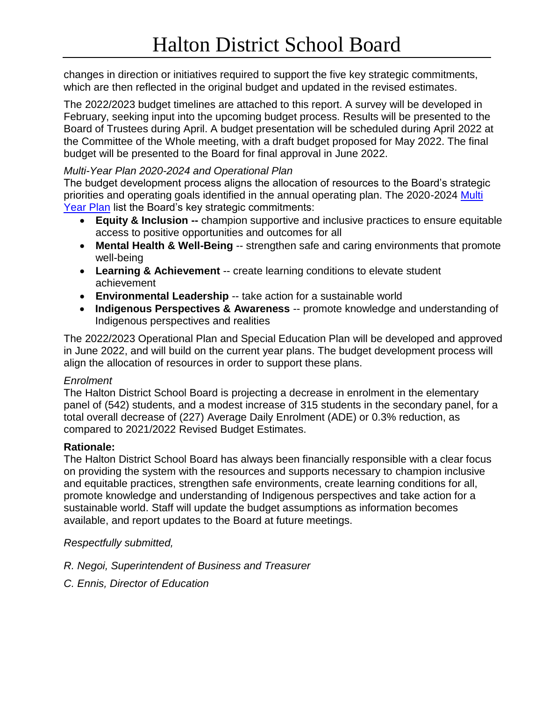changes in direction or initiatives required to support the five key strategic commitments, which are then reflected in the original budget and updated in the revised estimates.

The 2022/2023 budget timelines are attached to this report. A survey will be developed in February, seeking input into the upcoming budget process. Results will be presented to the Board of Trustees during April. A budget presentation will be scheduled during April 2022 at the Committee of the Whole meeting, with a draft budget proposed for May 2022. The final budget will be presented to the Board for final approval in June 2022.

## *Multi-Year Plan 2020-2024 and Operational Plan*

The budget development process aligns the allocation of resources to the Board's strategic priorities and operating goals identified in the annual operating plan. The 2020-2024 [Multi](https://www.hdsb.ca/our-board/Pages/Multi-Year-Plan-2020-2024.aspx)  [Year Plan](https://www.hdsb.ca/our-board/Pages/Multi-Year-Plan-2020-2024.aspx) list the Board's key strategic commitments:

- **Equity & Inclusion --** champion supportive and inclusive practices to ensure equitable access to positive opportunities and outcomes for all
- **Mental Health & Well-Being** -- strengthen safe and caring environments that promote well-being
- **Learning & Achievement** -- create learning conditions to elevate student achievement
- **Environmental Leadership** -- take action for a sustainable world
- **Indigenous Perspectives & Awareness** -- promote knowledge and understanding of Indigenous perspectives and realities

The 2022/2023 Operational Plan and Special Education Plan will be developed and approved in June 2022, and will build on the current year plans. The budget development process will align the allocation of resources in order to support these plans.

## *Enrolment*

The Halton District School Board is projecting a decrease in enrolment in the elementary panel of (542) students, and a modest increase of 315 students in the secondary panel, for a total overall decrease of (227) Average Daily Enrolment (ADE) or 0.3% reduction, as compared to 2021/2022 Revised Budget Estimates.

# **Rationale:**

The Halton District School Board has always been financially responsible with a clear focus on providing the system with the resources and supports necessary to champion inclusive and equitable practices, strengthen safe environments, create learning conditions for all, promote knowledge and understanding of Indigenous perspectives and take action for a sustainable world. Staff will update the budget assumptions as information becomes available, and report updates to the Board at future meetings.

*Respectfully submitted,*

- *R. Negoi, Superintendent of Business and Treasurer*
- *C. Ennis, Director of Education*